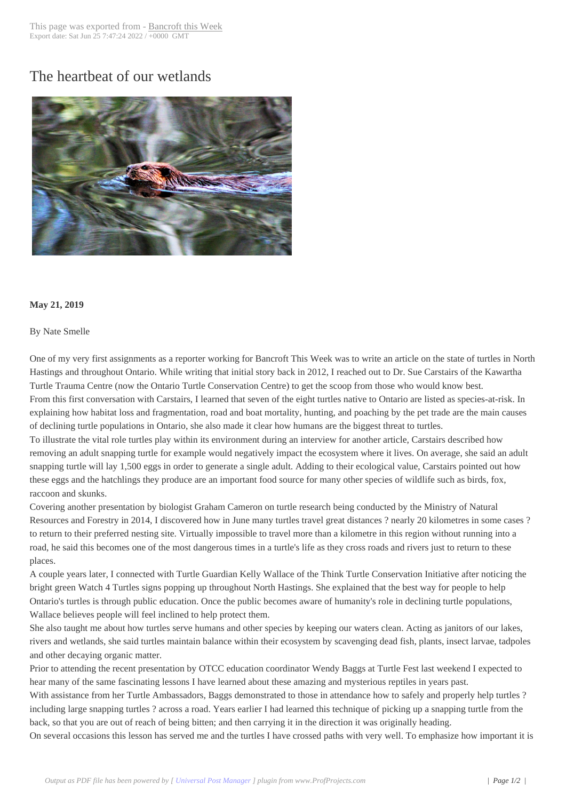## The heartbeat of o[ur wetlands](http://www.bancroftthisweek.com/?p=9759)



## **May 21, 2019**

## By Nate Smelle

One of my very first assignments as a reporter working for Bancroft This Week was to write an article on the state of turtles in North Hastings and throughout Ontario. While writing that initial story back in 2012, I reached out to Dr. Sue Carstairs of the Kawartha Turtle Trauma Centre (now the Ontario Turtle Conservation Centre) to get the scoop from those who would know best. From this first conversation with Carstairs, I learned that seven of the eight turtles native to Ontario are listed as species-at-risk. In explaining how habitat loss and fragmentation, road and boat mortality, hunting, and poaching by the pet trade are the main causes of declining turtle populations in Ontario, she also made it clear how humans are the biggest threat to turtles.

To illustrate the vital role turtles play within its environment during an interview for another article, Carstairs described how removing an adult snapping turtle for example would negatively impact the ecosystem where it lives. On average, she said an adult snapping turtle will lay 1,500 eggs in order to generate a single adult. Adding to their ecological value, Carstairs pointed out how these eggs and the hatchlings they produce are an important food source for many other species of wildlife such as birds, fox, raccoon and skunks.

Covering another presentation by biologist Graham Cameron on turtle research being conducted by the Ministry of Natural Resources and Forestry in 2014, I discovered how in June many turtles travel great distances ? nearly 20 kilometres in some cases ? to return to their preferred nesting site. Virtually impossible to travel more than a kilometre in this region without running into a road, he said this becomes one of the most dangerous times in a turtle's life as they cross roads and rivers just to return to these places.

A couple years later, I connected with Turtle Guardian Kelly Wallace of the Think Turtle Conservation Initiative after noticing the bright green Watch 4 Turtles signs popping up throughout North Hastings. She explained that the best way for people to help Ontario's turtles is through public education. Once the public becomes aware of humanity's role in declining turtle populations, Wallace believes people will feel inclined to help protect them.

She also taught me about how turtles serve humans and other species by keeping our waters clean. Acting as janitors of our lakes, rivers and wetlands, she said turtles maintain balance within their ecosystem by scavenging dead fish, plants, insect larvae, tadpoles and other decaying organic matter.

Prior to attending the recent presentation by OTCC education coordinator Wendy Baggs at Turtle Fest last weekend I expected to hear many of the same fascinating lessons I have learned about these amazing and mysterious reptiles in years past.

With assistance from her Turtle Ambassadors, Baggs demonstrated to those in attendance how to safely and properly help turtles ? including large snapping turtles ? across a road. Years earlier I had learned this technique of picking up a snapping turtle from the back, so that you are out of reach of being bitten; and then carrying it in the direction it was originally heading.

On several occasions this lesson has served me and the turtles I have crossed paths with very well. To emphasize how important it is